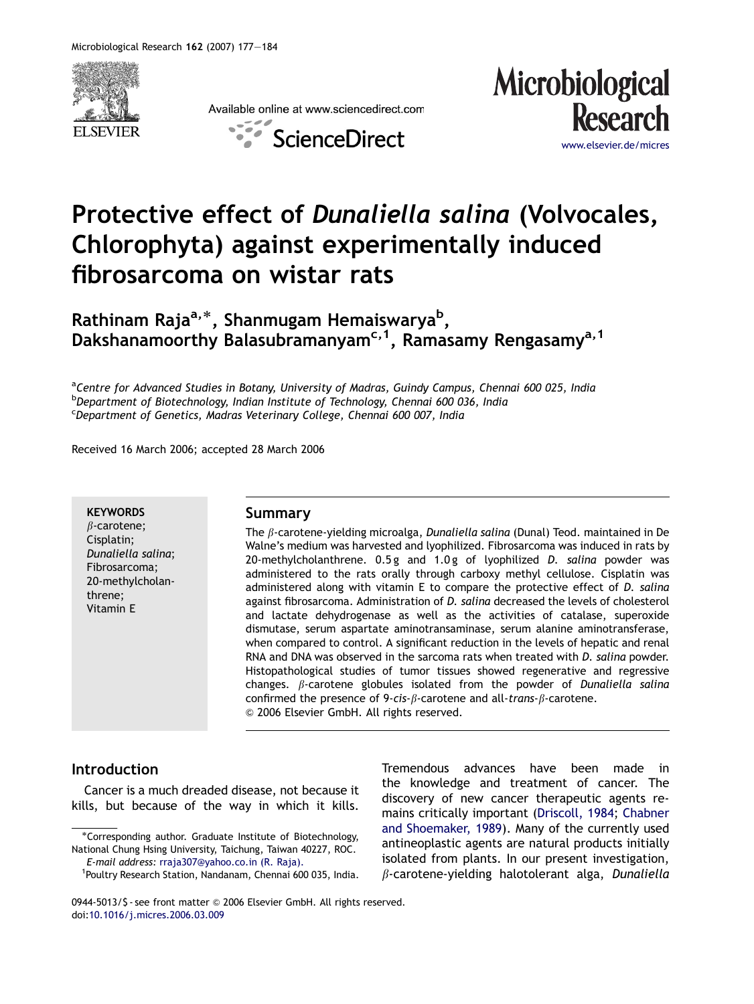

Available online at www.sciencedirect.com



ScienceDirect

www.elsevier.de/micre

# Protective effect of Dunaliella salina (Volvocales, Chlorophyta) against experimentally induced fibrosarcoma on wistar rats

Rathinam Raja<sup>a,</sup>\*, Shanmugam Hemaiswarya<sup>b</sup>, Dakshanamoorthy Balasubramanyam<sup>c, 1</sup>, Ramasamy Rengasamy<sup>a, 1</sup>

<sup>a</sup>Centre for Advanced Studies in Botany, University of Madras, Guindy Campus, Chennai 600 025, India <sup>b</sup>Department of Biotechnology, Indian Institute of Technology, Chennai 600 036, India <sup>c</sup>Department of Genetics, Madras Veterinary College, Chennai 600 007, India

Received 16 March 2006; accepted 28 March 2006

#### **KEYWORDS**

 $\beta$ -carotene; Cisplatin; Dunaliella salina; Fibrosarcoma; 20-methylcholanthrene; Vitamin E

## Summary

The  $\beta$ -carotene-yielding microalga, Dunaliella salina (Dunal) Teod. maintained in De Walne's medium was harvested and lyophilized. Fibrosarcoma was induced in rats by 20-methylcholanthrene. 0.5g and 1.0g of lyophilized D. salina powder was administered to the rats orally through carboxy methyl cellulose. Cisplatin was administered along with vitamin E to compare the protective effect of D. salina against fibrosarcoma. Administration of D. salina decreased the levels of cholesterol and lactate dehydrogenase as well as the activities of catalase, superoxide dismutase, serum aspartate aminotransaminase, serum alanine aminotransferase, when compared to control. A significant reduction in the levels of hepatic and renal RNA and DNA was observed in the sarcoma rats when treated with D. salina powder. Histopathological studies of tumor tissues showed regenerative and regressive changes.  $\beta$ -carotene globules isolated from the powder of Dunaliella salina confirmed the presence of 9-cis- $\beta$ -carotene and all-trans- $\beta$ -carotene. & 2006 Elsevier GmbH. All rights reserved.

# Introduction

Cancer is a much dreaded disease, not because it kills, but because of the way in which it kills.

-Corresponding author. Graduate Institute of Biotechnology, National Chung Hsing University, Taichung, Taiwan 40227, ROC. E-mail address: [rraja307@yahoo.co.in \(R. Raja\).](mailto:rraja307@yahoo.co.in) <sup>1</sup>

Tremendous advances have been made in the knowledge and treatment of cancer. The discovery of new cancer therapeutic agents remains critically important ([Driscoll, 1984](#page-6-0); [Chabner](#page-6-0) [and Shoemaker, 1989\)](#page-6-0). Many of the currently used antineoplastic agents are natural products initially isolated from plants. In our present investigation,  $\beta$ -carotene-yielding halotolerant alga, Dunaliella

<sup>&</sup>lt;sup>1</sup>Poultry Research Station, Nandanam, Chennai 600 035, India.

<sup>0944-5013/\$ -</sup> see front matter © 2006 Elsevier GmbH. All rights reserved. doi[:10.1016/j.micres.2006.03.009](dx.doi.org/10.1016/j.micres.2006.03.009)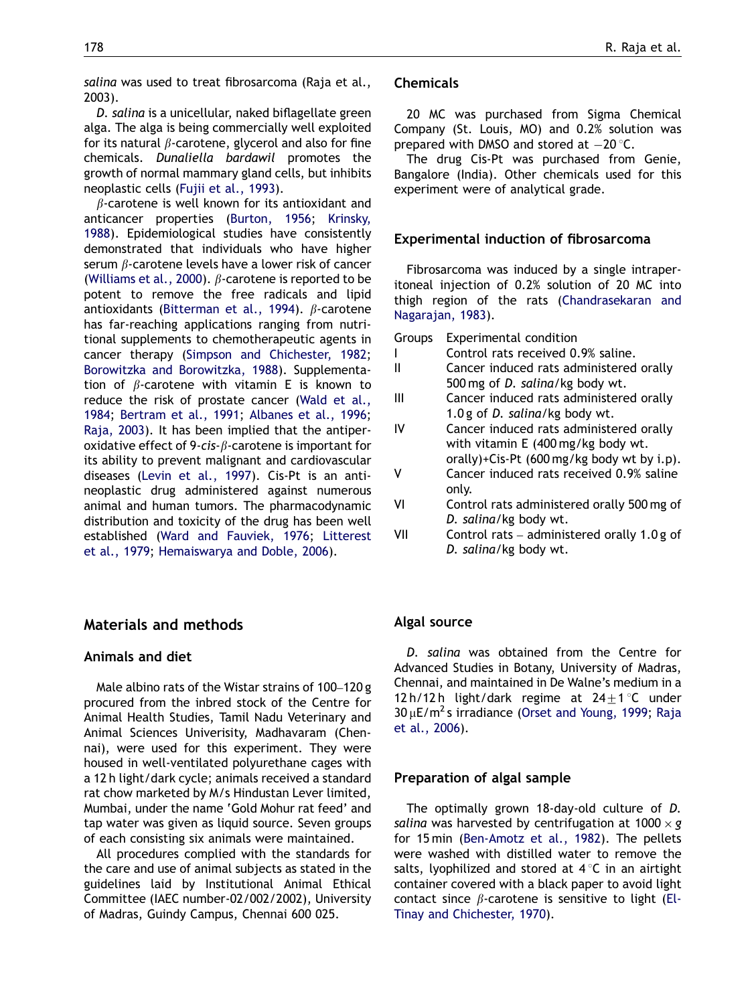salina was used to treat fibrosarcoma (Raja et al., 2003).

D. salina is a unicellular, naked biflagellate green alga. The alga is being commercially well exploited for its natural  $\beta$ -carotene, glycerol and also for fine chemicals. Dunaliella bardawil promotes the growth of normal mammary gland cells, but inhibits neoplastic cells [\(Fujii et al., 1993](#page-6-0)).

 $\beta$ -carotene is well known for its antioxidant and anticancer properties [\(Burton, 1956;](#page-6-0) [Krinsky,](#page-7-0) [1988](#page-7-0)). Epidemiological studies have consistently demonstrated that individuals who have higher serum  $\beta$ -carotene levels have a lower risk of cancer ([Williams et al., 2000\)](#page-7-0).  $\beta$ -carotene is reported to be potent to remove the free radicals and lipid antioxidants [\(Bitterman et al., 1994](#page-6-0)).  $\beta$ -carotene has far-reaching applications ranging from nutritional supplements to chemotherapeutic agents in cancer therapy [\(Simpson and Chichester, 1982;](#page-7-0) [Borowitzka and Borowitzka, 1988\)](#page-6-0). Supplementation of  $\beta$ -carotene with vitamin E is known to reduce the risk of prostate cancer [\(Wald et al.,](#page-7-0) [1984](#page-7-0); [Bertram et al., 1991](#page-6-0); [Albanes et al., 1996;](#page-6-0) [Raja, 2003](#page-7-0)). It has been implied that the antiperoxidative effect of 9-cis- $\beta$ -carotene is important for its ability to prevent malignant and cardiovascular diseases [\(Levin et al., 1997\)](#page-7-0). Cis-Pt is an antineoplastic drug administered against numerous animal and human tumors. The pharmacodynamic distribution and toxicity of the drug has been well established ([Ward and Fauviek, 1976;](#page-7-0) [Litterest](#page-7-0) [et al., 1979](#page-7-0); [Hemaiswarya and Doble, 2006\)](#page-6-0).

# Materials and methods

### Animals and diet

Male albino rats of the Wistar strains of 100–120 g procured from the inbred stock of the Centre for Animal Health Studies, Tamil Nadu Veterinary and Animal Sciences Univerisity, Madhavaram (Chennai), were used for this experiment. They were housed in well-ventilated polyurethane cages with a 12 h light/dark cycle; animals received a standard rat chow marketed by M/s Hindustan Lever limited, Mumbai, under the name 'Gold Mohur rat feed' and tap water was given as liquid source. Seven groups of each consisting six animals were maintained.

All procedures complied with the standards for the care and use of animal subjects as stated in the guidelines laid by Institutional Animal Ethical Committee (IAEC number-02/002/2002), University of Madras, Guindy Campus, Chennai 600 025.

# Chemicals

20 MC was purchased from Sigma Chemical Company (St. Louis, MO) and 0.2% solution was prepared with DMSO and stored at  $-20$  °C.

The drug Cis-Pt was purchased from Genie, Bangalore (India). Other chemicals used for this experiment were of analytical grade.

#### Experimental induction of fibrosarcoma

Fibrosarcoma was induced by a single intraperitoneal injection of 0.2% solution of 20 MC into thigh region of the rats [\(Chandrasekaran and](#page-6-0) [Nagarajan, 1983](#page-6-0)).

Groups Experimental condition

- I Control rats received 0.9% saline.
- II Cancer induced rats administered orally 500 mg of D. salina/kg body wt.
- III Cancer induced rats administered orally 1.0 g of D. salina/kg body wt.
- IV Cancer induced rats administered orally with vitamin E (400 mg/kg body wt. orally)+Cis-Pt (600 mg/kg body wt by i.p).
- V Cancer induced rats received 0.9% saline only.
- VI Control rats administered orally 500 mg of D. salina/kg body wt.
- VII Control rats administered orally 1.0 g of D. salina/kg body wt.

#### Algal source

D. salina was obtained from the Centre for Advanced Studies in Botany, University of Madras, Chennai, and maintained in De Walne's medium in a 12 h/12 h light/dark regime at  $24\pm 1$  °C under  $30 \mu$ E/m<sup>2</sup> s irradiance [\(Orset and Young, 1999;](#page-7-0) [Raja](#page-7-0) [et al., 2006\)](#page-7-0).

## Preparation of algal sample

The optimally grown 18-day-old culture of D. salina was harvested by centrifugation at 1000  $\times$  g for 15 min [\(Ben-Amotz et al., 1982\)](#page-6-0). The pellets were washed with distilled water to remove the salts, lyophilized and stored at  $4^{\circ}C$  in an airtight container covered with a black paper to avoid light contact since  $\beta$ -carotene is sensitive to light ([El-](#page-6-0)[Tinay and Chichester, 1970](#page-6-0)).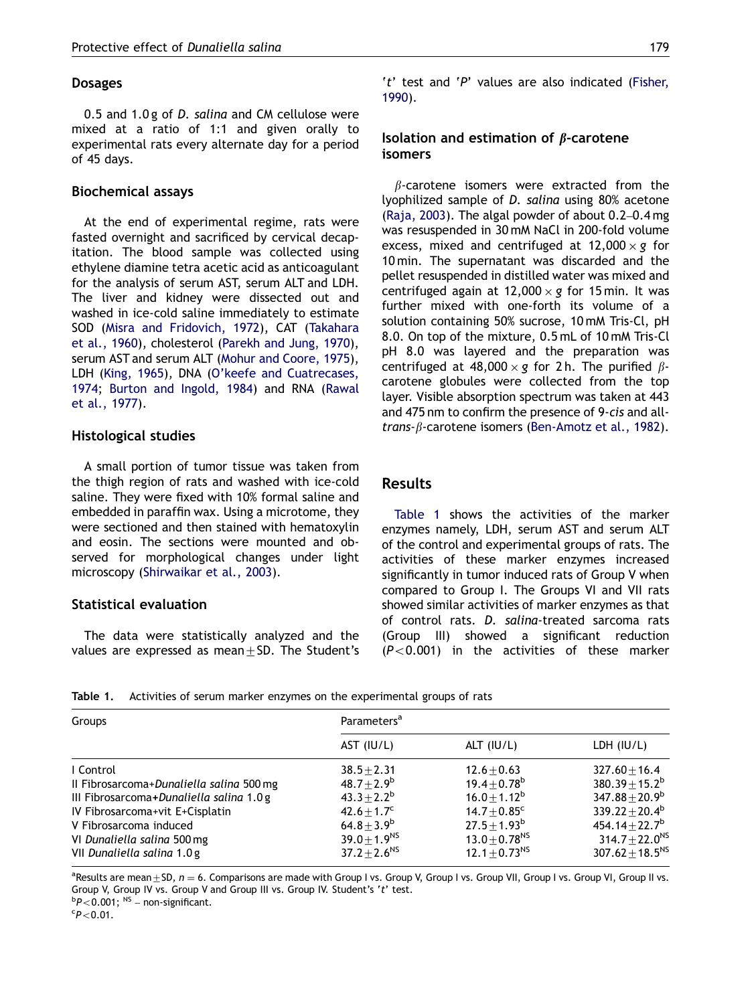# Dosages

0.5 and 1.0 g of D. salina and CM cellulose were mixed at a ratio of 1:1 and given orally to experimental rats every alternate day for a period of 45 days.

## Biochemical assays

At the end of experimental regime, rats were fasted overnight and sacrificed by cervical decapitation. The blood sample was collected using ethylene diamine tetra acetic acid as anticoagulant for the analysis of serum AST, serum ALT and LDH. The liver and kidney were dissected out and washed in ice-cold saline immediately to estimate SOD ([Misra and Fridovich, 1972](#page-7-0)), CAT [\(Takahara](#page-7-0) [et al., 1960\)](#page-7-0), cholesterol ([Parekh and Jung, 1970\)](#page-7-0), serum AST and serum ALT ([Mohur and Coore, 1975\)](#page-7-0), LDH [\(King, 1965](#page-7-0)), DNA [\(O'keefe and Cuatrecases,](#page-7-0) [1974](#page-7-0); [Burton and Ingold, 1984\)](#page-6-0) and RNA [\(Rawal](#page-7-0) [et al., 1977\)](#page-7-0).

# Histological studies

A small portion of tumor tissue was taken from the thigh region of rats and washed with ice-cold saline. They were fixed with 10% formal saline and embedded in paraffin wax. Using a microtome, they were sectioned and then stained with hematoxylin and eosin. The sections were mounted and observed for morphological changes under light microscopy [\(Shirwaikar et al., 2003](#page-7-0)).

# Statistical evaluation

The data were statistically analyzed and the values are expressed as mean $\pm$ SD. The Student's 't' test and 'P' values are also indicated [\(Fisher,](#page-6-0) [1990\)](#page-6-0).

# Isolation and estimation of  $\beta$ -carotene isomers

 $\beta$ -carotene isomers were extracted from the lyophilized sample of D. salina using 80% acetone [\(Raja, 2003](#page-7-0)). The algal powder of about 0.2–0.4 mg was resuspended in 30 mM NaCl in 200-fold volume excess, mixed and centrifuged at 12,000  $\times$  g for 10 min. The supernatant was discarded and the pellet resuspended in distilled water was mixed and centrifuged again at 12,000  $\times$  g for 15 min. It was further mixed with one-forth its volume of a solution containing 50% sucrose, 10 mM Tris-Cl, pH 8.0. On top of the mixture, 0.5 mL of 10 mM Tris-Cl pH 8.0 was layered and the preparation was centrifuged at 48,000  $\times$  g for 2 h. The purified  $\beta$ carotene globules were collected from the top layer. Visible absorption spectrum was taken at 443 and 475 nm to confirm the presence of 9-cis and alltrans- $\beta$ -carotene isomers ([Ben-Amotz et al., 1982\)](#page-6-0).

# Results

Table 1 shows the activities of the marker enzymes namely, LDH, serum AST and serum ALT of the control and experimental groups of rats. The activities of these marker enzymes increased significantly in tumor induced rats of Group V when compared to Group I. The Groups VI and VII rats showed similar activities of marker enzymes as that of control rats. D. salina-treated sarcoma rats (Group III) showed a significant reduction  $(P<0.001)$  in the activities of these marker

| Table 1. |  |  |  | Activities of serum marker enzymes on the experimental groups of rats |  |
|----------|--|--|--|-----------------------------------------------------------------------|--|
|----------|--|--|--|-----------------------------------------------------------------------|--|

| Groups                                   | Parameters <sup>a</sup>      |                               |                        |  |  |
|------------------------------------------|------------------------------|-------------------------------|------------------------|--|--|
|                                          | AST (IU/L)                   | ALT $(IU/L)$                  | LDH $(IU/L)$           |  |  |
| I Control                                | $38.5 + 2.31$                | $12.6 + 0.63$                 | $327.60 \pm 16.4$      |  |  |
| Il Fibrosarcoma+Dunaliella salina 500 mg | $48.7 + 2.9^b$               | $19.4 + 0.78^b$               | $380.39 \pm 15.2^b$    |  |  |
| III Fibrosarcoma+Dunaliella salina 1.0 g | $43.3 + 2.2^b$               | $16.0 + 1.12^b$               | $347.88 + 20.9^b$      |  |  |
| IV Fibrosarcoma+vit E+Cisplatin          | $42.6 \pm 1.7^c$             | $14.7 \pm 0.85$ <sup>c</sup>  | $339.22 + 20.4^b$      |  |  |
| V Fibrosarcoma induced                   | $64.8 \pm 3.9^b$             | $27.5 \pm 1.93^b$             | $454.14 + 22.7^b$      |  |  |
| VI Dunaliella salina 500 mg              | 39.0 $\pm$ 1.9 <sup>NS</sup> | $13.0 + 0.78$ <sup>NS</sup>   | $314.7 + 22.0^{NS}$    |  |  |
| VII Dunaliella salina 1.0 g              | $37.2 \pm 2.6^{NS}$          | 12.1 $\pm$ 0.73 <sup>NS</sup> | $307.62 \pm 18.5^{NS}$ |  |  |

 $^{\rm a}$ Results are mean $\pm$ SD,  $n=6.$  Comparisons are made with Group I vs. Group V, Group I vs. Group VII, Group VI, Group II vs. Group V, Group IV vs. Group V and Group III vs. Group IV. Student's 't' test.

 $bP<0.001;$  <sup>NS</sup> – non-significant.<br>cp – 0.01

 $P$ <0.01.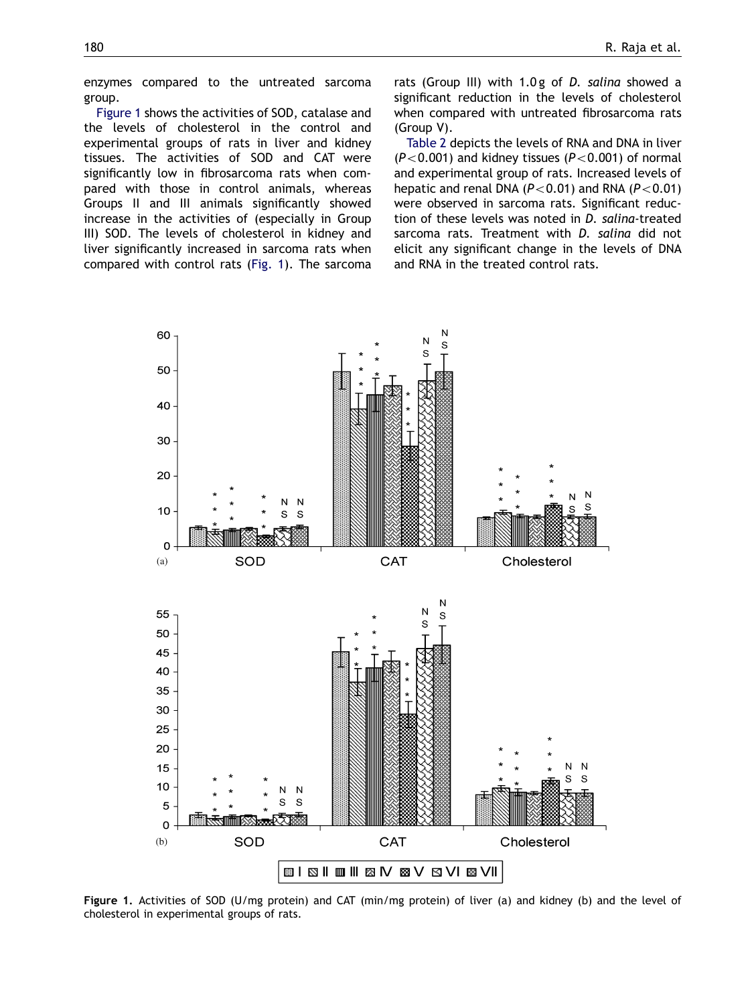enzymes compared to the untreated sarcoma group.

Figure 1 shows the activities of SOD, catalase and the levels of cholesterol in the control and experimental groups of rats in liver and kidney tissues. The activities of SOD and CAT were significantly low in fibrosarcoma rats when compared with those in control animals, whereas Groups II and III animals significantly showed increase in the activities of (especially in Group III) SOD. The levels of cholesterol in kidney and liver significantly increased in sarcoma rats when compared with control rats (Fig. 1). The sarcoma

rats (Group III) with 1.0g of D. salina showed a significant reduction in the levels of cholesterol when compared with untreated fibrosarcoma rats (Group V).

[Table 2](#page-4-0) depicts the levels of RNA and DNA in liver  $(P<0.001)$  and kidney tissues  $(P<0.001)$  of normal and experimental group of rats. Increased levels of hepatic and renal DNA ( $P<0.01$ ) and RNA ( $P<0.01$ ) were observed in sarcoma rats. Significant reduction of these levels was noted in D. salina-treated sarcoma rats. Treatment with D. salina did not elicit any significant change in the levels of DNA and RNA in the treated control rats.



Figure 1. Activities of SOD (U/mg protein) and CAT (min/mg protein) of liver (a) and kidney (b) and the level of cholesterol in experimental groups of rats.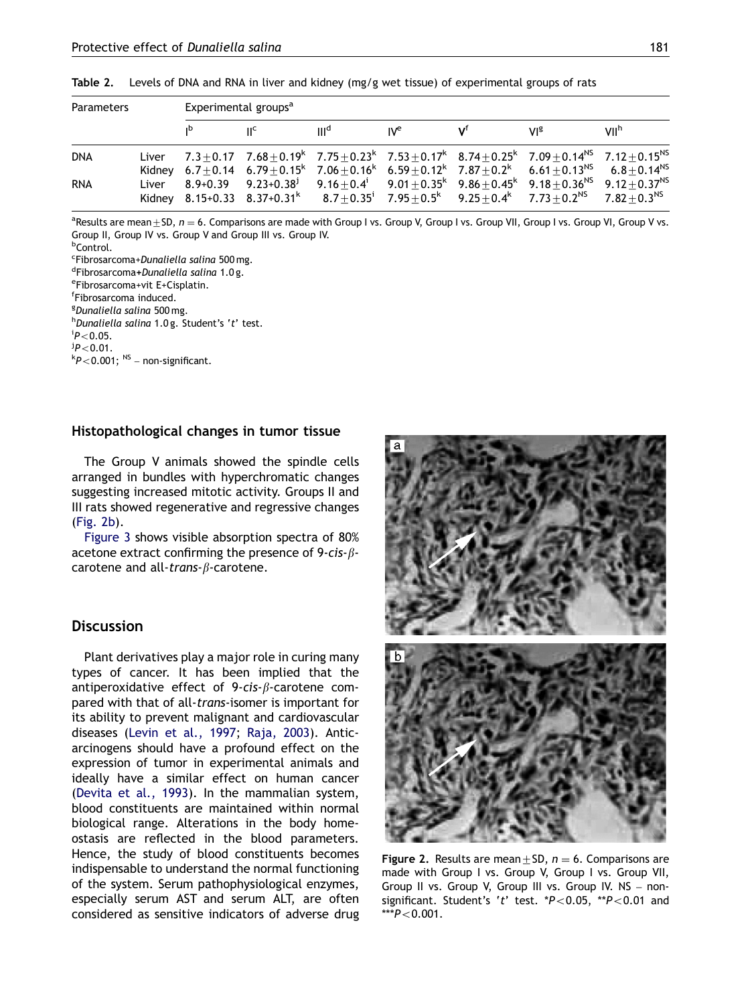| <b>Parameters</b> | Experimental groups <sup>a</sup> |                           |                  |                 |  |                                                                                                                                                                                       |                  |  |
|-------------------|----------------------------------|---------------------------|------------------|-----------------|--|---------------------------------------------------------------------------------------------------------------------------------------------------------------------------------------|------------------|--|
|                   |                                  | $\mathsf{H}^{\mathsf{c}}$ | III <sup>d</sup> | IV <sup>e</sup> |  | VIº                                                                                                                                                                                   | VII <sup>h</sup> |  |
| <b>DNA</b>        |                                  |                           |                  |                 |  | Liver $7.3+0.17$ $7.68+0.19$ $7.75+0.23$ $7.53+0.17$ $8.74+0.25$ $7.09+0.14$ <sup>NS</sup> $7.12+0.15$ <sup>NS</sup>                                                                  |                  |  |
|                   |                                  |                           |                  |                 |  | Kidney $6.7 \pm 0.14$ $6.79 \pm 0.15$ $7.06 \pm 0.16$ $6.59 \pm 0.12$ $7.87 \pm 0.2$ $6.61 \pm 0.13$ <sup>NS</sup> $6.8 \pm 0.14$ <sup>NS</sup>                                       |                  |  |
| <b>RNA</b>        |                                  |                           |                  |                 |  | Liver 8.9+0.39 9.23+0.38 <sup>j</sup> 9.16 $\pm$ 0.4 <sup>i</sup> 9.01 $\pm$ 0.35 <sup>k</sup> 9.86 $\pm$ 0.45 <sup>k</sup> 9.18 $\pm$ 0.36 <sup>NS</sup> 9.12+0.37 <sup>NS</sup>     |                  |  |
|                   |                                  |                           |                  |                 |  | Kidney 8.15+0.33 8.37+0.31 <sup>k</sup> 8.7 $\pm$ 0.35 <sup>i</sup> 7.95 $\pm$ 0.5 <sup>k</sup> 9.25 $\pm$ 0.4 <sup>k</sup> 7.73 $\pm$ 0.2 <sup>NS</sup> 7.82 $\pm$ 0.3 <sup>NS</sup> |                  |  |

<span id="page-4-0"></span>Table 2. Levels of DNA and RNA in liver and kidney (mg/g wet tissue) of experimental groups of rats

 $^{\rm a}$ Results are mean $\pm$ SD,  $n=6$ . Comparisons are made with Group I vs. Group V, Group I vs. Group VII, Group VI, Group V vs. Group II, Group IV vs. Group V and Group III vs. Group IV.

<sup>b</sup>Control.

<sup>c</sup>Fibrosarcoma+*Dunaliella salina* 500 mg.<br><sup>d</sup>Eibrosarcoma+Dungliella salina 1.0 g.

 $d$ Fibrosarcoma+Dunaliella salina 1.0 g.

Fibrosarcoma+vit E+Cisplatin.

f Fibrosarcoma induced.

<sup>g</sup>Dunaliella salina 500 mg.<br><sup>h</sup>Dunaliella salina 1.0 g. S.

 $h$ Dunaliella salina 1.0 g. Student's 't' test.

 $P$  < 0.05.

.<sup>j</sup>P<0.01<br>h > 0.01

 $kP<0.001$ ;  $^{NS}$  – non-significant.

### Histopathological changes in tumor tissue

The Group V animals showed the spindle cells arranged in bundles with hyperchromatic changes suggesting increased mitotic activity. Groups II and III rats showed regenerative and regressive changes (Fig. 2b).

[Figure 3](#page-5-0) shows visible absorption spectra of 80% acetone extract confirming the presence of 9-cis- $\beta$ carotene and all-trans- $\beta$ -carotene.

# **Discussion**

Plant derivatives play a major role in curing many types of cancer. It has been implied that the antiperoxidative effect of  $9$ -cis- $\beta$ -carotene compared with that of all-trans-isomer is important for its ability to prevent malignant and cardiovascular diseases ([Levin et al., 1997;](#page-7-0) [Raja, 2003\)](#page-7-0). Anticarcinogens should have a profound effect on the expression of tumor in experimental animals and ideally have a similar effect on human cancer [\(Devita et al., 1993\)](#page-6-0). In the mammalian system, blood constituents are maintained within normal biological range. Alterations in the body homeostasis are reflected in the blood parameters. Hence, the study of blood constituents becomes indispensable to understand the normal functioning of the system. Serum pathophysiological enzymes, especially serum AST and serum ALT, are often considered as sensitive indicators of adverse drug

![](_page_4_Picture_19.jpeg)

Figure 2. Results are mean  $\pm$  SD,  $n = 6$ . Comparisons are made with Group I vs. Group V, Group I vs. Group VII, Group II vs. Group V, Group III vs. Group IV. NS – nonsignificant. Student's 't' test.  $*P<0.05$ ,  $*P<0.01$  and  $***P<0.001$ .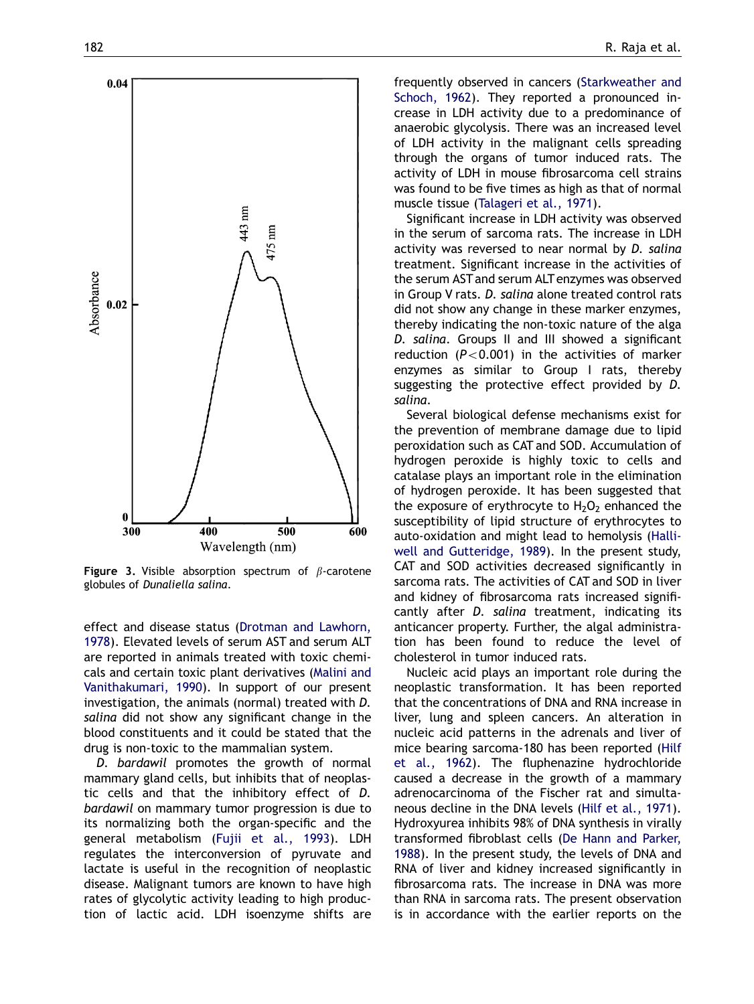<span id="page-5-0"></span>![](_page_5_Figure_1.jpeg)

**Figure 3.** Visible absorption spectrum of  $\beta$ -carotene globules of Dunaliella salina.

effect and disease status [\(Drotman and Lawhorn,](#page-6-0) [1978](#page-6-0)). Elevated levels of serum AST and serum ALT are reported in animals treated with toxic chemicals and certain toxic plant derivatives ([Malini and](#page-7-0) [Vanithakumari, 1990\)](#page-7-0). In support of our present investigation, the animals (normal) treated with D. salina did not show any significant change in the blood constituents and it could be stated that the drug is non-toxic to the mammalian system.

D. bardawil promotes the growth of normal mammary gland cells, but inhibits that of neoplastic cells and that the inhibitory effect of D. bardawil on mammary tumor progression is due to its normalizing both the organ-specific and the general metabolism ([Fujii et al., 1993\)](#page-6-0). LDH regulates the interconversion of pyruvate and lactate is useful in the recognition of neoplastic disease. Malignant tumors are known to have high rates of glycolytic activity leading to high production of lactic acid. LDH isoenzyme shifts are

frequently observed in cancers [\(Starkweather and](#page-7-0) [Schoch, 1962](#page-7-0)). They reported a pronounced increase in LDH activity due to a predominance of anaerobic glycolysis. There was an increased level of LDH activity in the malignant cells spreading through the organs of tumor induced rats. The activity of LDH in mouse fibrosarcoma cell strains was found to be five times as high as that of normal muscle tissue ([Talageri et al., 1971](#page-7-0)).

Significant increase in LDH activity was observed in the serum of sarcoma rats. The increase in LDH activity was reversed to near normal by D. salina treatment. Significant increase in the activities of the serum AST and serum ALT enzymes was observed in Group V rats. D. salina alone treated control rats did not show any change in these marker enzymes, thereby indicating the non-toxic nature of the alga D. salina. Groups II and III showed a significant reduction ( $P < 0.001$ ) in the activities of marker enzymes as similar to Group I rats, thereby suggesting the protective effect provided by D. salina.

Several biological defense mechanisms exist for the prevention of membrane damage due to lipid peroxidation such as CAT and SOD. Accumulation of hydrogen peroxide is highly toxic to cells and catalase plays an important role in the elimination of hydrogen peroxide. It has been suggested that the exposure of erythrocyte to  $H_2O_2$  enhanced the susceptibility of lipid structure of erythrocytes to auto-oxidation and might lead to hemolysis ([Halli](#page-6-0)[well and Gutteridge, 1989](#page-6-0)). In the present study, CAT and SOD activities decreased significantly in sarcoma rats. The activities of CAT and SOD in liver and kidney of fibrosarcoma rats increased significantly after D. salina treatment, indicating its anticancer property. Further, the algal administration has been found to reduce the level of cholesterol in tumor induced rats.

Nucleic acid plays an important role during the neoplastic transformation. It has been reported that the concentrations of DNA and RNA increase in liver, lung and spleen cancers. An alteration in nucleic acid patterns in the adrenals and liver of mice bearing sarcoma-180 has been reported ([Hilf](#page-6-0) [et al., 1962](#page-6-0)). The fluphenazine hydrochloride caused a decrease in the growth of a mammary adrenocarcinoma of the Fischer rat and simultaneous decline in the DNA levels ([Hilf et al., 1971](#page-6-0)). Hydroxyurea inhibits 98% of DNA synthesis in virally transformed fibroblast cells ([De Hann and Parker,](#page-6-0) [1988](#page-6-0)). In the present study, the levels of DNA and RNA of liver and kidney increased significantly in fibrosarcoma rats. The increase in DNA was more than RNA in sarcoma rats. The present observation is in accordance with the earlier reports on the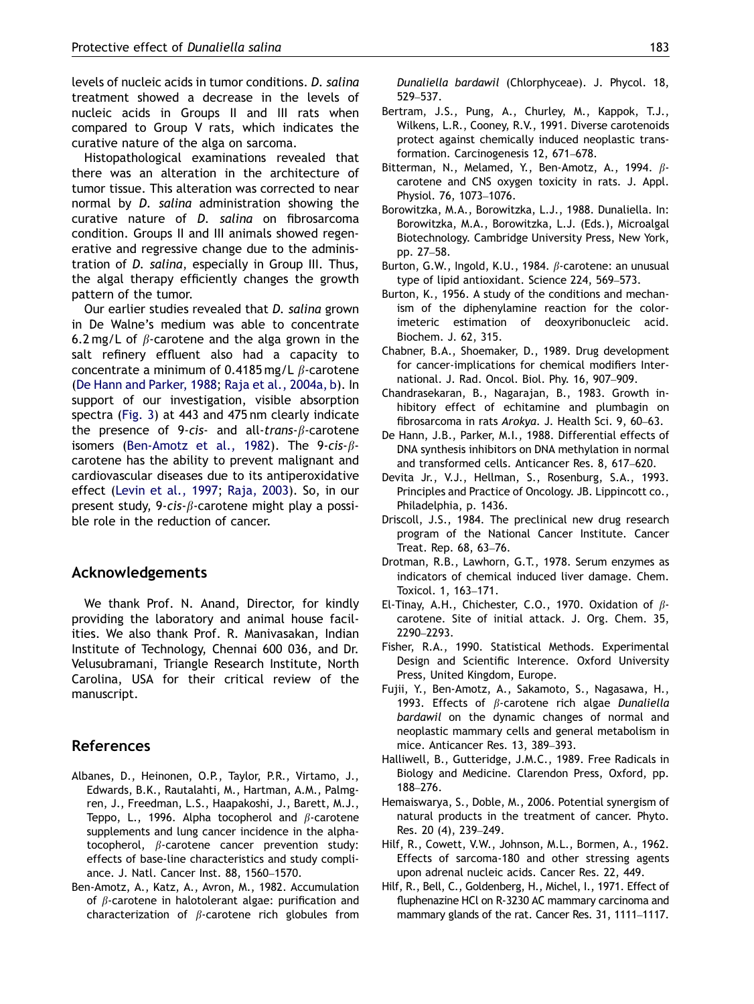<span id="page-6-0"></span>levels of nucleic acids in tumor conditions. D. salina treatment showed a decrease in the levels of nucleic acids in Groups II and III rats when compared to Group V rats, which indicates the curative nature of the alga on sarcoma.

Histopathological examinations revealed that there was an alteration in the architecture of tumor tissue. This alteration was corrected to near normal by D. salina administration showing the curative nature of D. salina on fibrosarcoma condition. Groups II and III animals showed regenerative and regressive change due to the administration of D. salina, especially in Group III. Thus, the algal therapy efficiently changes the growth pattern of the tumor.

Our earlier studies revealed that D. salina grown in De Walne's medium was able to concentrate 6.2 mg/L of  $\beta$ -carotene and the alga grown in the salt refinery effluent also had a capacity to concentrate a minimum of 0.4185 mg/L  $\beta$ -carotene (De Hann and Parker, 1988; [Raja et al., 2004a, b](#page-7-0)). In support of our investigation, visible absorption spectra ([Fig. 3\)](#page-5-0) at 443 and 475 nm clearly indicate the presence of 9-cis- and all-trans- $\beta$ -carotene isomers (Ben-Amotz et al., 1982). The 9-cis- $\beta$ carotene has the ability to prevent malignant and cardiovascular diseases due to its antiperoxidative effect [\(Levin et al., 1997](#page-7-0); [Raja, 2003](#page-7-0)). So, in our present study, 9-cis- $\beta$ -carotene might play a possible role in the reduction of cancer.

## Acknowledgements

We thank Prof. N. Anand, Director, for kindly providing the laboratory and animal house facilities. We also thank Prof. R. Manivasakan, Indian Institute of Technology, Chennai 600 036, and Dr. Velusubramani, Triangle Research Institute, North Carolina, USA for their critical review of the manuscript.

# References

- Albanes, D., Heinonen, O.P., Taylor, P.R., Virtamo, J., Edwards, B.K., Rautalahti, M., Hartman, A.M., Palmgren, J., Freedman, L.S., Haapakoshi, J., Barett, M.J., Teppo, L., 1996. Alpha tocopherol and  $\beta$ -carotene supplements and lung cancer incidence in the alphatocopherol,  $\beta$ -carotene cancer prevention study: effects of base-line characteristics and study compliance. J. Natl. Cancer Inst. 88, 1560–1570.
- Ben-Amotz, A., Katz, A., Avron, M., 1982. Accumulation of  $\beta$ -carotene in halotolerant algae: purification and characterization of  $\beta$ -carotene rich globules from

Dunaliella bardawil (Chlorphyceae). J. Phycol. 18, 529–537.

- Bertram, J.S., Pung, A., Churley, M., Kappok, T.J., Wilkens, L.R., Cooney, R.V., 1991. Diverse carotenoids protect against chemically induced neoplastic transformation. Carcinogenesis 12, 671–678.
- Bitterman, N., Melamed, Y., Ben-Amotz, A., 1994.  $\beta$ carotene and CNS oxygen toxicity in rats. J. Appl. Physiol. 76, 1073–1076.
- Borowitzka, M.A., Borowitzka, L.J., 1988. Dunaliella. In: Borowitzka, M.A., Borowitzka, L.J. (Eds.), Microalgal Biotechnology. Cambridge University Press, New York, pp. 27–58.
- Burton, G.W., Ingold, K.U., 1984.  $\beta$ -carotene: an unusual type of lipid antioxidant. Science 224, 569–573.
- Burton, K., 1956. A study of the conditions and mechanism of the diphenylamine reaction for the colorimeteric estimation of deoxyribonucleic acid. Biochem. J. 62, 315.
- Chabner, B.A., Shoemaker, D., 1989. Drug development for cancer-implications for chemical modifiers International. J. Rad. Oncol. Biol. Phy. 16, 907–909.
- Chandrasekaran, B., Nagarajan, B., 1983. Growth inhibitory effect of echitamine and plumbagin on fibrosarcoma in rats Arokya. J. Health Sci. 9, 60–63.
- De Hann, J.B., Parker, M.I., 1988. Differential effects of DNA synthesis inhibitors on DNA methylation in normal and transformed cells. Anticancer Res. 8, 617–620.
- Devita Jr., V.J., Hellman, S., Rosenburg, S.A., 1993. Principles and Practice of Oncology. JB. Lippincott co., Philadelphia, p. 1436.
- Driscoll, J.S., 1984. The preclinical new drug research program of the National Cancer Institute. Cancer Treat. Rep. 68, 63–76.
- Drotman, R.B., Lawhorn, G.T., 1978. Serum enzymes as indicators of chemical induced liver damage. Chem. Toxicol. 1, 163–171.
- El-Tinay, A.H., Chichester, C.O., 1970. Oxidation of  $\beta$ carotene. Site of initial attack. J. Org. Chem. 35, 2290–2293.
- Fisher, R.A., 1990. Statistical Methods. Experimental Design and Scientific Interence. Oxford University Press, United Kingdom, Europe.
- Fujii, Y., Ben-Amotz, A., Sakamoto, S., Nagasawa, H., 1993. Effects of  $\beta$ -carotene rich algae Dunaliella bardawil on the dynamic changes of normal and neoplastic mammary cells and general metabolism in mice. Anticancer Res. 13, 389–393.
- Halliwell, B., Gutteridge, J.M.C., 1989. Free Radicals in Biology and Medicine. Clarendon Press, Oxford, pp. 188–276.
- Hemaiswarya, S., Doble, M., 2006. Potential synergism of natural products in the treatment of cancer. Phyto. Res. 20 (4), 239–249.
- Hilf, R., Cowett, V.W., Johnson, M.L., Bormen, A., 1962. Effects of sarcoma-180 and other stressing agents upon adrenal nucleic acids. Cancer Res. 22, 449.
- Hilf, R., Bell, C., Goldenberg, H., Michel, I., 1971. Effect of fluphenazine HCl on R-3230 AC mammary carcinoma and mammary glands of the rat. Cancer Res. 31, 1111–1117.